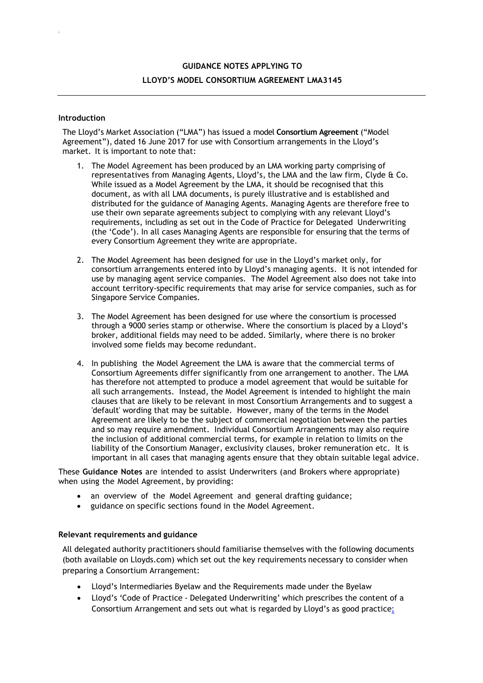## **GUIDANCE NOTES APPLYING TO LLOYD'S MODEL CONSORTIUM AGREEMENT LMA3145**

## **Introduction**

;

The Lloyd's Market Association ("LMA") has issued a model **Consortium Agreement** ("Model Agreement"), dated 16 June 2017 for use with Consortium arrangements in the Lloyd's market. It is important to note that:

- 1. The Model Agreement has been produced by an LMA working party comprising of representatives from Managing Agents, Lloyd's, the LMA and the law firm, Clyde & Co. While issued as a Model Agreement by the LMA, it should be recognised that this document, as with all LMA documents, is purely illustrative and is established and distributed for the guidance of Managing Agents. Managing Agents are therefore free to use their own separate agreements subject to complying with any relevant Lloyd's requirements, including as set out in the Code of Practice for Delegated Underwriting (the 'Code'). In all cases Managing Agents are responsible for ensuring that the terms of every Consortium Agreement they write are appropriate.
- 2. The Model Agreement has been designed for use in the Lloyd's market only, for consortium arrangements entered into by Lloyd's managing agents. It is not intended for use by managing agent service companies. The Model Agreement also does not take into account territory-specific requirements that may arise for service companies, such as for Singapore Service Companies.
- 3. The Model Agreement has been designed for use where the consortium is processed through a 9000 series stamp or otherwise. Where the consortium is placed by a Lloyd's broker, additional fields may need to be added. Similarly, where there is no broker involved some fields may become redundant.
- 4. In publishing the Model Agreement the LMA is aware that the commercial terms of Consortium Agreements differ significantly from one arrangement to another. The LMA has therefore not attempted to produce a model agreement that would be suitable for all such arrangements. Instead, the Model Agreement is intended to highlight the main clauses that are likely to be relevant in most Consortium Arrangements and to suggest a 'default' wording that may be suitable. However, many of the terms in the Model Agreement are likely to be the subject of commercial negotiation between the parties and so may require amendment. Individual Consortium Arrangements may also require the inclusion of additional commercial terms, for example in relation to limits on the liability of the Consortium Manager, exclusivity clauses, broker remuneration etc. It is important in all cases that managing agents ensure that they obtain suitable legal advice.

These **Guidance Notes** are intended to assist Underwriters (and Brokers where appropriate) when using the Model Agreement, by providing:

- an overview of the Model Agreement and general drafting guidance;
- guidance on specific sections found in the Model Agreement.

## **Relevant requirements and guidance**

All delegated authority practitioners should familiarise themselves with the following documents (both available on Lloyds.com) which set out the key requirements necessary to consider when preparing a Consortium Arrangement:

- Lloyd's Intermediaries Byelaw and the Requirements made under the Byelaw
- Lloyd's 'Code of Practice Delegated Underwriting' which prescribes the content of a Consortium Arrangement and sets out what is regarded by Lloyd's as good practice;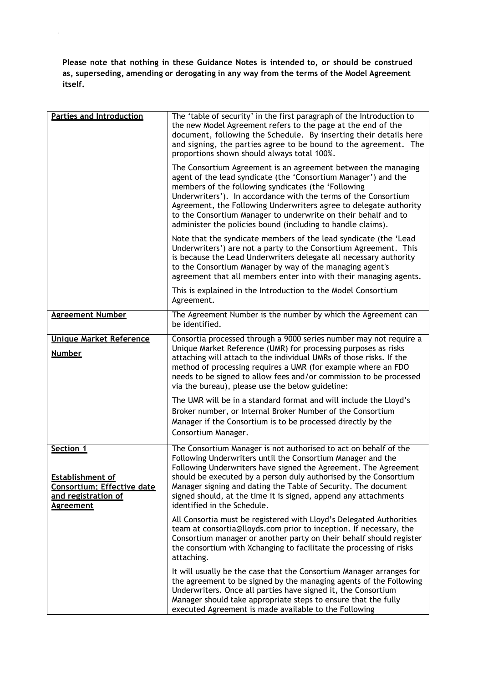**Please note that nothing in these Guidance Notes is intended to, or should be construed as, superseding, amending or derogating in any way from the terms of the Model Agreement itself.**

;

| <b>Parties and Introduction</b>                                                                                      | The 'table of security' in the first paragraph of the Introduction to<br>the new Model Agreement refers to the page at the end of the<br>document, following the Schedule. By inserting their details here<br>and signing, the parties agree to be bound to the agreement. The<br>proportions shown should always total 100%.                                                                                                                                  |
|----------------------------------------------------------------------------------------------------------------------|----------------------------------------------------------------------------------------------------------------------------------------------------------------------------------------------------------------------------------------------------------------------------------------------------------------------------------------------------------------------------------------------------------------------------------------------------------------|
|                                                                                                                      | The Consortium Agreement is an agreement between the managing<br>agent of the lead syndicate (the 'Consortium Manager') and the<br>members of the following syndicates (the 'Following<br>Underwriters'). In accordance with the terms of the Consortium<br>Agreement, the Following Underwriters agree to delegate authority<br>to the Consortium Manager to underwrite on their behalf and to<br>administer the policies bound (including to handle claims). |
|                                                                                                                      | Note that the syndicate members of the lead syndicate (the 'Lead<br>Underwriters') are not a party to the Consortium Agreement. This<br>is because the Lead Underwriters delegate all necessary authority<br>to the Consortium Manager by way of the managing agent's<br>agreement that all members enter into with their managing agents.                                                                                                                     |
|                                                                                                                      | This is explained in the Introduction to the Model Consortium<br>Agreement.                                                                                                                                                                                                                                                                                                                                                                                    |
| <b>Agreement Number</b>                                                                                              | The Agreement Number is the number by which the Agreement can<br>be identified.                                                                                                                                                                                                                                                                                                                                                                                |
| <b>Unique Market Reference</b>                                                                                       | Consortia processed through a 9000 series number may not require a                                                                                                                                                                                                                                                                                                                                                                                             |
| <b>Number</b>                                                                                                        | Unique Market Reference (UMR) for processing purposes as risks<br>attaching will attach to the individual UMRs of those risks. If the<br>method of processing requires a UMR (for example where an FDO<br>needs to be signed to allow fees and/or commission to be processed<br>via the bureau), please use the below guideline:                                                                                                                               |
|                                                                                                                      | The UMR will be in a standard format and will include the Lloyd's<br>Broker number, or Internal Broker Number of the Consortium<br>Manager if the Consortium is to be processed directly by the<br>Consortium Manager.                                                                                                                                                                                                                                         |
| <b>Section 1</b><br><b>Establishment of</b><br>Consortium; Effective date<br>and registration of<br><b>Agreement</b> | The Consortium Manager is not authorised to act on behalf of the<br>Following Underwriters until the Consortium Manager and the<br>Following Underwriters have signed the Agreement. The Agreement<br>should be executed by a person duly authorised by the Consortium<br>Manager signing and dating the Table of Security. The document<br>signed should, at the time it is signed, append any attachments<br>identified in the Schedule.                     |
|                                                                                                                      | All Consortia must be registered with Lloyd's Delegated Authorities<br>team at consortia@lloyds.com prior to inception. If necessary, the<br>Consortium manager or another party on their behalf should register<br>the consortium with Xchanging to facilitate the processing of risks<br>attaching.                                                                                                                                                          |
|                                                                                                                      | It will usually be the case that the Consortium Manager arranges for<br>the agreement to be signed by the managing agents of the Following<br>Underwriters. Once all parties have signed it, the Consortium<br>Manager should take appropriate steps to ensure that the fully<br>executed Agreement is made available to the Following                                                                                                                         |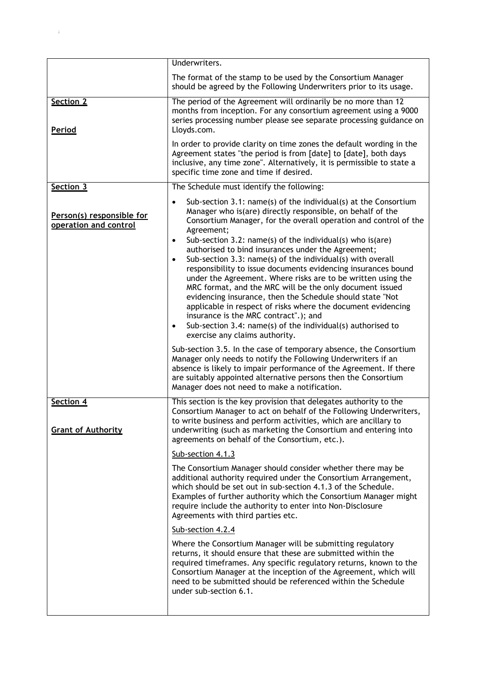|                                                    | Underwriters.                                                                                                                                                                                                                                                                                                                                                                                                                                                                                                                                            |
|----------------------------------------------------|----------------------------------------------------------------------------------------------------------------------------------------------------------------------------------------------------------------------------------------------------------------------------------------------------------------------------------------------------------------------------------------------------------------------------------------------------------------------------------------------------------------------------------------------------------|
|                                                    | The format of the stamp to be used by the Consortium Manager<br>should be agreed by the Following Underwriters prior to its usage.                                                                                                                                                                                                                                                                                                                                                                                                                       |
| Section 2<br>Period                                | The period of the Agreement will ordinarily be no more than 12<br>months from inception. For any consortium agreement using a 9000<br>series processing number please see separate processing guidance on<br>Lloyds.com.                                                                                                                                                                                                                                                                                                                                 |
|                                                    | In order to provide clarity on time zones the default wording in the<br>Agreement states "the period is from [date] to [date], both days<br>inclusive, any time zone". Alternatively, it is permissible to state a<br>specific time zone and time if desired.                                                                                                                                                                                                                                                                                            |
| Section 3                                          | The Schedule must identify the following:                                                                                                                                                                                                                                                                                                                                                                                                                                                                                                                |
| Person(s) responsible for<br>operation and control | Sub-section 3.1: name(s) of the individual(s) at the Consortium<br>Manager who is(are) directly responsible, on behalf of the<br>Consortium Manager, for the overall operation and control of the<br>Agreement;<br>Sub-section 3.2: name(s) of the individual(s) who is (are)<br>$\bullet$<br>authorised to bind insurances under the Agreement;                                                                                                                                                                                                         |
|                                                    | Sub-section 3.3: name(s) of the individual(s) with overall<br>$\bullet$<br>responsibility to issue documents evidencing insurances bound<br>under the Agreement. Where risks are to be written using the<br>MRC format, and the MRC will be the only document issued<br>evidencing insurance, then the Schedule should state "Not<br>applicable in respect of risks where the document evidencing<br>insurance is the MRC contract".); and<br>Sub-section 3.4: name(s) of the individual(s) authorised to<br>$\bullet$<br>exercise any claims authority. |
|                                                    | Sub-section 3.5. In the case of temporary absence, the Consortium<br>Manager only needs to notify the Following Underwriters if an<br>absence is likely to impair performance of the Agreement. If there<br>are suitably appointed alternative persons then the Consortium<br>Manager does not need to make a notification.                                                                                                                                                                                                                              |
| Section 4<br><b>Grant of Authority</b>             | This section is the key provision that delegates authority to the<br>Consortium Manager to act on behalf of the Following Underwriters,<br>to write business and perform activities, which are ancillary to<br>underwriting (such as marketing the Consortium and entering into<br>agreements on behalf of the Consortium, etc.).                                                                                                                                                                                                                        |
|                                                    | Sub-section 4.1.3                                                                                                                                                                                                                                                                                                                                                                                                                                                                                                                                        |
|                                                    | The Consortium Manager should consider whether there may be<br>additional authority required under the Consortium Arrangement,<br>which should be set out in sub-section 4.1.3 of the Schedule.<br>Examples of further authority which the Consortium Manager might<br>require include the authority to enter into Non-Disclosure<br>Agreements with third parties etc.                                                                                                                                                                                  |
|                                                    | Sub-section 4.2.4                                                                                                                                                                                                                                                                                                                                                                                                                                                                                                                                        |
|                                                    | Where the Consortium Manager will be submitting regulatory<br>returns, it should ensure that these are submitted within the<br>required timeframes. Any specific regulatory returns, known to the<br>Consortium Manager at the inception of the Agreement, which will<br>need to be submitted should be referenced within the Schedule<br>under sub-section 6.1.                                                                                                                                                                                         |
|                                                    |                                                                                                                                                                                                                                                                                                                                                                                                                                                                                                                                                          |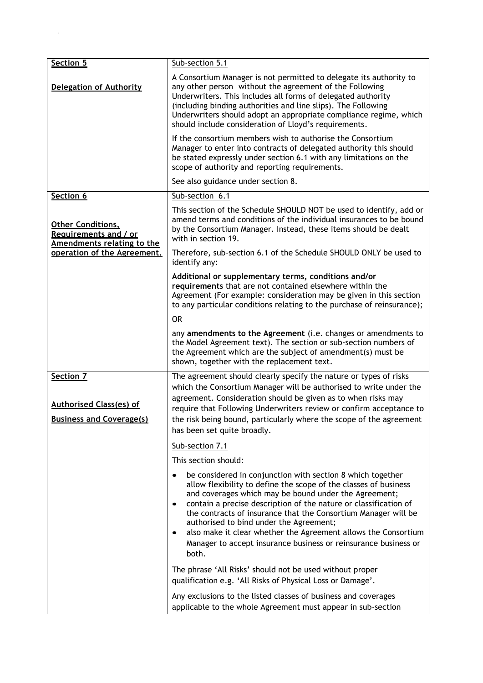| Section 5                                                                       | Sub-section 5.1                                                                                                                                                                                                                                                                                                                                                                                                                                                                                                        |
|---------------------------------------------------------------------------------|------------------------------------------------------------------------------------------------------------------------------------------------------------------------------------------------------------------------------------------------------------------------------------------------------------------------------------------------------------------------------------------------------------------------------------------------------------------------------------------------------------------------|
| <b>Delegation of Authority</b>                                                  | A Consortium Manager is not permitted to delegate its authority to<br>any other person without the agreement of the Following<br>Underwriters. This includes all forms of delegated authority<br>(including binding authorities and line slips). The Following<br>Underwriters should adopt an appropriate compliance regime, which<br>should include consideration of Lloyd's requirements.                                                                                                                           |
|                                                                                 | If the consortium members wish to authorise the Consortium<br>Manager to enter into contracts of delegated authority this should<br>be stated expressly under section 6.1 with any limitations on the<br>scope of authority and reporting requirements.                                                                                                                                                                                                                                                                |
|                                                                                 | See also guidance under section 8.                                                                                                                                                                                                                                                                                                                                                                                                                                                                                     |
| Section 6                                                                       | Sub-section 6.1                                                                                                                                                                                                                                                                                                                                                                                                                                                                                                        |
| <b>Other Conditions,</b><br>Requirements and / or<br>Amendments relating to the | This section of the Schedule SHOULD NOT be used to identify, add or<br>amend terms and conditions of the individual insurances to be bound<br>by the Consortium Manager. Instead, these items should be dealt<br>with in section 19.                                                                                                                                                                                                                                                                                   |
| operation of the Agreement.                                                     | Therefore, sub-section 6.1 of the Schedule SHOULD ONLY be used to<br>identify any:                                                                                                                                                                                                                                                                                                                                                                                                                                     |
|                                                                                 | Additional or supplementary terms, conditions and/or<br>requirements that are not contained elsewhere within the<br>Agreement (For example: consideration may be given in this section<br>to any particular conditions relating to the purchase of reinsurance);                                                                                                                                                                                                                                                       |
|                                                                                 | <b>OR</b>                                                                                                                                                                                                                                                                                                                                                                                                                                                                                                              |
|                                                                                 | any amendments to the Agreement (i.e. changes or amendments to<br>the Model Agreement text). The section or sub-section numbers of<br>the Agreement which are the subject of amendment(s) must be<br>shown, together with the replacement text.                                                                                                                                                                                                                                                                        |
| Section 7<br><b>Authorised Class(es) of</b><br><b>Business and Coverage(s)</b>  | The agreement should clearly specify the nature or types of risks<br>which the Consortium Manager will be authorised to write under the<br>agreement. Consideration should be given as to when risks may<br>require that Following Underwriters review or confirm acceptance to<br>the risk being bound, particularly where the scope of the agreement<br>has been set quite broadly.                                                                                                                                  |
|                                                                                 | Sub-section 7.1                                                                                                                                                                                                                                                                                                                                                                                                                                                                                                        |
|                                                                                 | This section should:                                                                                                                                                                                                                                                                                                                                                                                                                                                                                                   |
|                                                                                 | be considered in conjunction with section 8 which together<br>allow flexibility to define the scope of the classes of business<br>and coverages which may be bound under the Agreement;<br>contain a precise description of the nature or classification of<br>the contracts of insurance that the Consortium Manager will be<br>authorised to bind under the Agreement;<br>also make it clear whether the Agreement allows the Consortium<br>Manager to accept insurance business or reinsurance business or<br>both. |
|                                                                                 | The phrase 'All Risks' should not be used without proper<br>qualification e.g. 'All Risks of Physical Loss or Damage'.                                                                                                                                                                                                                                                                                                                                                                                                 |
|                                                                                 | Any exclusions to the listed classes of business and coverages<br>applicable to the whole Agreement must appear in sub-section                                                                                                                                                                                                                                                                                                                                                                                         |

 $\mathbb{R}^2$  ;  $\mathbb{R}^2$  ;  $\mathbb{R}^2$  ;  $\mathbb{R}^2$  ;  $\mathbb{R}^2$  ;  $\mathbb{R}^2$  ;  $\mathbb{R}^2$  ;  $\mathbb{R}^2$  ;  $\mathbb{R}^2$  ;  $\mathbb{R}^2$  ;  $\mathbb{R}^2$  ;  $\mathbb{R}^2$  ;  $\mathbb{R}^2$  ;  $\mathbb{R}^2$  ;  $\mathbb{R}^2$  ;  $\mathbb{R}^2$  ;  $\mathbb{R}^2$  ;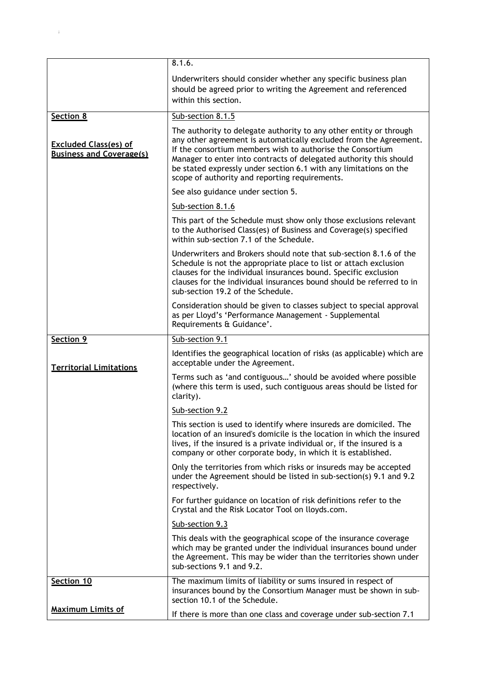|                                                                 | 8.1.6.                                                                                                                                                                                                                                                                                                                                                                                             |
|-----------------------------------------------------------------|----------------------------------------------------------------------------------------------------------------------------------------------------------------------------------------------------------------------------------------------------------------------------------------------------------------------------------------------------------------------------------------------------|
|                                                                 | Underwriters should consider whether any specific business plan<br>should be agreed prior to writing the Agreement and referenced<br>within this section.                                                                                                                                                                                                                                          |
| Section 8                                                       | Sub-section 8.1.5                                                                                                                                                                                                                                                                                                                                                                                  |
| <b>Excluded Class(es) of</b><br><b>Business and Coverage(s)</b> | The authority to delegate authority to any other entity or through<br>any other agreement is automatically excluded from the Agreement.<br>If the consortium members wish to authorise the Consortium<br>Manager to enter into contracts of delegated authority this should<br>be stated expressly under section 6.1 with any limitations on the<br>scope of authority and reporting requirements. |
|                                                                 | See also guidance under section 5.                                                                                                                                                                                                                                                                                                                                                                 |
|                                                                 | Sub-section 8.1.6                                                                                                                                                                                                                                                                                                                                                                                  |
|                                                                 | This part of the Schedule must show only those exclusions relevant<br>to the Authorised Class(es) of Business and Coverage(s) specified<br>within sub-section 7.1 of the Schedule.                                                                                                                                                                                                                 |
|                                                                 | Underwriters and Brokers should note that sub-section 8.1.6 of the<br>Schedule is not the appropriate place to list or attach exclusion<br>clauses for the individual insurances bound. Specific exclusion<br>clauses for the individual insurances bound should be referred to in<br>sub-section 19.2 of the Schedule.                                                                            |
|                                                                 | Consideration should be given to classes subject to special approval<br>as per Lloyd's 'Performance Management - Supplemental<br>Requirements & Guidance'.                                                                                                                                                                                                                                         |
| Section 9                                                       | Sub-section 9.1                                                                                                                                                                                                                                                                                                                                                                                    |
| <b>Territorial Limitations</b>                                  | Identifies the geographical location of risks (as applicable) which are<br>acceptable under the Agreement.                                                                                                                                                                                                                                                                                         |
|                                                                 | Terms such as 'and contiguous' should be avoided where possible<br>(where this term is used, such contiguous areas should be listed for<br>clarity).                                                                                                                                                                                                                                               |
|                                                                 | Sub-section 9.2                                                                                                                                                                                                                                                                                                                                                                                    |
|                                                                 | This section is used to identify where insureds are domiciled. The<br>location of an insured's domicile is the location in which the insured<br>lives, if the insured is a private individual or, if the insured is a<br>company or other corporate body, in which it is established.                                                                                                              |
|                                                                 | Only the territories from which risks or insureds may be accepted<br>under the Agreement should be listed in sub-section(s) 9.1 and 9.2<br>respectively.                                                                                                                                                                                                                                           |
|                                                                 | For further guidance on location of risk definitions refer to the<br>Crystal and the Risk Locator Tool on lloyds.com.                                                                                                                                                                                                                                                                              |
|                                                                 | Sub-section 9.3                                                                                                                                                                                                                                                                                                                                                                                    |
|                                                                 | This deals with the geographical scope of the insurance coverage<br>which may be granted under the individual insurances bound under<br>the Agreement. This may be wider than the territories shown under<br>sub-sections 9.1 and 9.2.                                                                                                                                                             |
| Section 10                                                      | The maximum limits of liability or sums insured in respect of<br>insurances bound by the Consortium Manager must be shown in sub-<br>section 10.1 of the Schedule.                                                                                                                                                                                                                                 |
| <b>Maximum Limits of</b>                                        | If there is more than one class and coverage under sub-section 7.1                                                                                                                                                                                                                                                                                                                                 |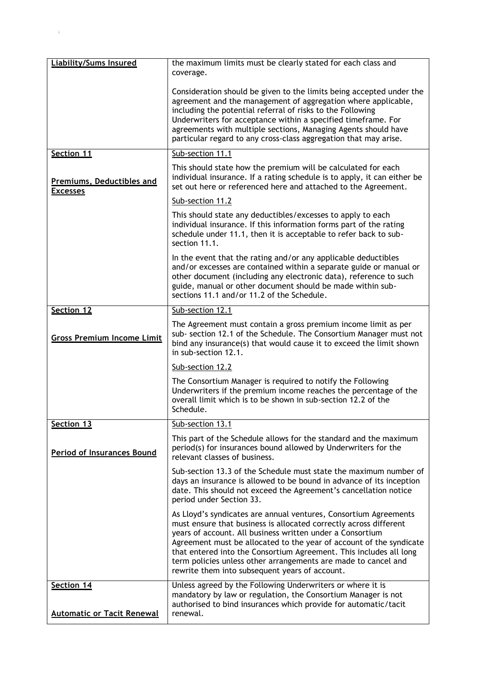| <b>Liability/Sums Insured</b>                       | the maximum limits must be clearly stated for each class and<br>coverage.                                                                                                                                                                                                                                                                                                                                                                                           |
|-----------------------------------------------------|---------------------------------------------------------------------------------------------------------------------------------------------------------------------------------------------------------------------------------------------------------------------------------------------------------------------------------------------------------------------------------------------------------------------------------------------------------------------|
|                                                     | Consideration should be given to the limits being accepted under the<br>agreement and the management of aggregation where applicable,<br>including the potential referral of risks to the Following<br>Underwriters for acceptance within a specified timeframe. For<br>agreements with multiple sections, Managing Agents should have<br>particular regard to any cross-class aggregation that may arise.                                                          |
| Section 11                                          | Sub-section 11.1                                                                                                                                                                                                                                                                                                                                                                                                                                                    |
| <b>Premiums, Deductibles and</b><br><b>Excesses</b> | This should state how the premium will be calculated for each<br>individual insurance. If a rating schedule is to apply, it can either be<br>set out here or referenced here and attached to the Agreement.                                                                                                                                                                                                                                                         |
|                                                     | Sub-section 11.2                                                                                                                                                                                                                                                                                                                                                                                                                                                    |
|                                                     | This should state any deductibles/excesses to apply to each<br>individual insurance. If this information forms part of the rating<br>schedule under 11.1, then it is acceptable to refer back to sub-<br>section 11.1.                                                                                                                                                                                                                                              |
|                                                     | In the event that the rating and/or any applicable deductibles<br>and/or excesses are contained within a separate guide or manual or<br>other document (including any electronic data), reference to such<br>guide, manual or other document should be made within sub-<br>sections 11.1 and/or 11.2 of the Schedule.                                                                                                                                               |
| Section 12                                          | Sub-section 12.1                                                                                                                                                                                                                                                                                                                                                                                                                                                    |
| <b>Gross Premium Income Limit</b>                   | The Agreement must contain a gross premium income limit as per<br>sub- section 12.1 of the Schedule. The Consortium Manager must not<br>bind any insurance(s) that would cause it to exceed the limit shown<br>in sub-section 12.1.                                                                                                                                                                                                                                 |
|                                                     | Sub-section 12.2                                                                                                                                                                                                                                                                                                                                                                                                                                                    |
|                                                     | The Consortium Manager is required to notify the Following<br>Underwriters if the premium income reaches the percentage of the<br>overall limit which is to be shown in sub-section 12.2 of the<br>Schedule.                                                                                                                                                                                                                                                        |
| Section 13                                          | Sub-section 13.1                                                                                                                                                                                                                                                                                                                                                                                                                                                    |
| <b>Period of Insurances Bound</b>                   | This part of the Schedule allows for the standard and the maximum<br>period(s) for insurances bound allowed by Underwriters for the<br>relevant classes of business.                                                                                                                                                                                                                                                                                                |
|                                                     | Sub-section 13.3 of the Schedule must state the maximum number of<br>days an insurance is allowed to be bound in advance of its inception<br>date. This should not exceed the Agreement's cancellation notice<br>period under Section 33.                                                                                                                                                                                                                           |
|                                                     | As Lloyd's syndicates are annual ventures, Consortium Agreements<br>must ensure that business is allocated correctly across different<br>years of account. All business written under a Consortium<br>Agreement must be allocated to the year of account of the syndicate<br>that entered into the Consortium Agreement. This includes all long<br>term policies unless other arrangements are made to cancel and<br>rewrite them into subsequent years of account. |
| Section 14<br><b>Automatic or Tacit Renewal</b>     | Unless agreed by the Following Underwriters or where it is<br>mandatory by law or regulation, the Consortium Manager is not<br>authorised to bind insurances which provide for automatic/tacit<br>renewal.                                                                                                                                                                                                                                                          |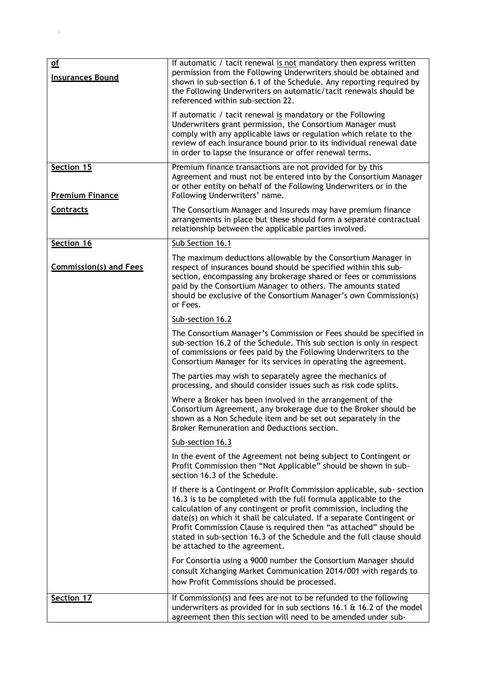| $\underline{\mathsf{of}}$<br><b>Insurances Bound</b> | If automatic / tacit renewal is not mandatory then express written<br>permission from the Following Underwriters should be obtained and<br>shown in sub-section 6.1 of the Schedule. Any reporting required by<br>the Following Underwriters on automatic/tacit renewals should be<br>referenced within sub-section 22.                                                                                                                                               |
|------------------------------------------------------|-----------------------------------------------------------------------------------------------------------------------------------------------------------------------------------------------------------------------------------------------------------------------------------------------------------------------------------------------------------------------------------------------------------------------------------------------------------------------|
|                                                      | If automatic / tacit renewal is mandatory or the Following<br>Underwriters grant permission, the Consortium Manager must<br>comply with any applicable laws or regulation which relate to the<br>review of each insurance bound prior to its individual renewal date<br>in order to lapse the insurance or offer renewal terms.                                                                                                                                       |
| Section 15<br><b>Premium Finance</b>                 | Premium finance transactions are not provided for by this<br>Agreement and must not be entered into by the Consortium Manager<br>or other entity on behalf of the Following Underwriters or in the<br>Following Underwriters' name.                                                                                                                                                                                                                                   |
| <b>Contracts</b>                                     | The Consortium Manager and Insureds may have premium finance<br>arrangements in place but these should form a separate contractual<br>relationship between the applicable parties involved.                                                                                                                                                                                                                                                                           |
| Section 16                                           | Sub Section 16.1                                                                                                                                                                                                                                                                                                                                                                                                                                                      |
| <b>Commission(s) and Fees</b>                        | The maximum deductions allowable by the Consortium Manager in<br>respect of insurances bound should be specified within this sub-<br>section, encompassing any brokerage shared or fees or commissions<br>paid by the Consortium Manager to others. The amounts stated<br>should be exclusive of the Consortium Manager's own Commission(s)<br>or Fees.                                                                                                               |
|                                                      | Sub-section 16.2                                                                                                                                                                                                                                                                                                                                                                                                                                                      |
|                                                      | The Consortium Manager's Commission or Fees should be specified in<br>sub-section 16.2 of the Schedule. This sub section is only in respect<br>of commissions or fees paid by the Following Underwriters to the<br>Consortium Manager for its services in operating the agreement.                                                                                                                                                                                    |
|                                                      | The parties may wish to separately agree the mechanics of<br>processing, and should consider issues such as risk code splits.                                                                                                                                                                                                                                                                                                                                         |
|                                                      | Where a Broker has been involved in the arrangement of the<br>Consortium Agreement, any brokerage due to the Broker should be<br>shown as a Non Schedule item and be set out separately in the<br>Broker Remuneration and Deductions section.                                                                                                                                                                                                                         |
|                                                      | Sub-section 16.3                                                                                                                                                                                                                                                                                                                                                                                                                                                      |
|                                                      | In the event of the Agreement not being subject to Contingent or<br>Profit Commission then "Not Applicable" should be shown in sub-<br>section 16.3 of the Schedule.                                                                                                                                                                                                                                                                                                  |
|                                                      | If there is a Contingent or Profit Commission applicable, sub- section<br>16.3 is to be completed with the full formula applicable to the<br>calculation of any contingent or profit commission, including the<br>date(s) on which it shall be calculated. If a separate Contingent or<br>Profit Commission Clause is required then "as attached" should be<br>stated in sub-section 16.3 of the Schedule and the full clause should<br>be attached to the agreement. |
|                                                      | For Consortia using a 9000 number the Consortium Manager should<br>consult Xchanging Market Communication 2014/001 with regards to<br>how Profit Commissions should be processed.                                                                                                                                                                                                                                                                                     |
| Section 17                                           | If Commission(s) and fees are not to be refunded to the following<br>underwriters as provided for in sub sections 16.1 & 16.2 of the model<br>agreement then this section will need to be amended under sub-                                                                                                                                                                                                                                                          |

 $\mathbf{g}^{\dagger}$  ;  $\mathbf{g}^{\dagger}$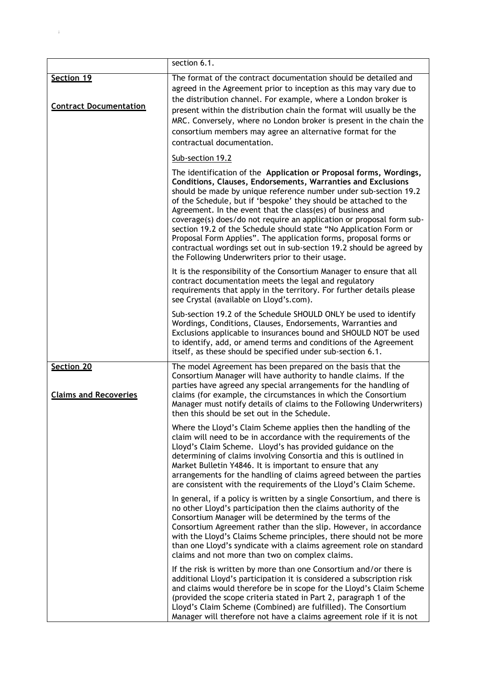|                                            | section 6.1.                                                                                                                                                                                                                                                                                                                                                                                                                                                                                                                                                                                                                                                                          |
|--------------------------------------------|---------------------------------------------------------------------------------------------------------------------------------------------------------------------------------------------------------------------------------------------------------------------------------------------------------------------------------------------------------------------------------------------------------------------------------------------------------------------------------------------------------------------------------------------------------------------------------------------------------------------------------------------------------------------------------------|
| Section 19                                 | The format of the contract documentation should be detailed and                                                                                                                                                                                                                                                                                                                                                                                                                                                                                                                                                                                                                       |
| <b>Contract Documentation</b>              | agreed in the Agreement prior to inception as this may vary due to<br>the distribution channel. For example, where a London broker is<br>present within the distribution chain the format will usually be the<br>MRC. Conversely, where no London broker is present in the chain the<br>consortium members may agree an alternative format for the<br>contractual documentation.                                                                                                                                                                                                                                                                                                      |
|                                            | Sub-section 19.2                                                                                                                                                                                                                                                                                                                                                                                                                                                                                                                                                                                                                                                                      |
|                                            | The identification of the Application or Proposal forms, Wordings,<br>Conditions, Clauses, Endorsements, Warranties and Exclusions<br>should be made by unique reference number under sub-section 19.2<br>of the Schedule, but if 'bespoke' they should be attached to the<br>Agreement. In the event that the class(es) of business and<br>coverage(s) does/do not require an application or proposal form sub-<br>section 19.2 of the Schedule should state "No Application Form or<br>Proposal Form Applies". The application forms, proposal forms or<br>contractual wordings set out in sub-section 19.2 should be agreed by<br>the Following Underwriters prior to their usage. |
|                                            | It is the responsibility of the Consortium Manager to ensure that all<br>contract documentation meets the legal and regulatory<br>requirements that apply in the territory. For further details please<br>see Crystal (available on Lloyd's.com).                                                                                                                                                                                                                                                                                                                                                                                                                                     |
|                                            | Sub-section 19.2 of the Schedule SHOULD ONLY be used to identify<br>Wordings, Conditions, Clauses, Endorsements, Warranties and<br>Exclusions applicable to insurances bound and SHOULD NOT be used<br>to identify, add, or amend terms and conditions of the Agreement<br>itself, as these should be specified under sub-section 6.1.                                                                                                                                                                                                                                                                                                                                                |
| Section 20<br><b>Claims and Recoveries</b> | The model Agreement has been prepared on the basis that the<br>Consortium Manager will have authority to handle claims. If the<br>parties have agreed any special arrangements for the handling of<br>claims (for example, the circumstances in which the Consortium<br>Manager must notify details of claims to the Following Underwriters)<br>then this should be set out in the Schedule.                                                                                                                                                                                                                                                                                          |
|                                            | Where the Lloyd's Claim Scheme applies then the handling of the<br>claim will need to be in accordance with the requirements of the<br>Lloyd's Claim Scheme. Lloyd's has provided guidance on the<br>determining of claims involving Consortia and this is outlined in<br>Market Bulletin Y4846. It is important to ensure that any<br>arrangements for the handling of claims agreed between the parties<br>are consistent with the requirements of the Lloyd's Claim Scheme.                                                                                                                                                                                                        |
|                                            | In general, if a policy is written by a single Consortium, and there is<br>no other Lloyd's participation then the claims authority of the<br>Consortium Manager will be determined by the terms of the<br>Consortium Agreement rather than the slip. However, in accordance<br>with the Lloyd's Claims Scheme principles, there should not be more<br>than one Lloyd's syndicate with a claims agreement role on standard<br>claims and not more than two on complex claims.                                                                                                                                                                                                         |
|                                            | If the risk is written by more than one Consortium and/or there is<br>additional Lloyd's participation it is considered a subscription risk<br>and claims would therefore be in scope for the Lloyd's Claim Scheme<br>(provided the scope criteria stated in Part 2, paragraph 1 of the<br>Lloyd's Claim Scheme (Combined) are fulfilled). The Consortium<br>Manager will therefore not have a claims agreement role if it is not                                                                                                                                                                                                                                                     |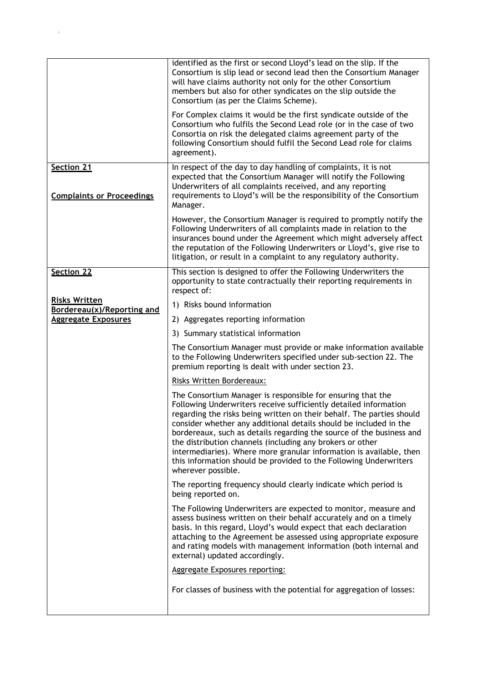|                                                          | identified as the first or second Lloyd's lead on the slip. If the<br>Consortium is slip lead or second lead then the Consortium Manager<br>will have claims authority not only for the other Consortium<br>members but also for other syndicates on the slip outside the<br>Consortium (as per the Claims Scheme).<br>For Complex claims it would be the first syndicate outside of the                                                                                                                                                                                             |
|----------------------------------------------------------|--------------------------------------------------------------------------------------------------------------------------------------------------------------------------------------------------------------------------------------------------------------------------------------------------------------------------------------------------------------------------------------------------------------------------------------------------------------------------------------------------------------------------------------------------------------------------------------|
|                                                          | Consortium who fulfils the Second Lead role (or in the case of two<br>Consortia on risk the delegated claims agreement party of the<br>following Consortium should fulfil the Second Lead role for claims<br>agreement).                                                                                                                                                                                                                                                                                                                                                             |
| Section 21<br><b>Complaints or Proceedings</b>           | In respect of the day to day handling of complaints, it is not<br>expected that the Consortium Manager will notify the Following<br>Underwriters of all complaints received, and any reporting<br>requirements to Lloyd's will be the responsibility of the Consortium<br>Manager.                                                                                                                                                                                                                                                                                                   |
|                                                          | However, the Consortium Manager is required to promptly notify the<br>Following Underwriters of all complaints made in relation to the<br>insurances bound under the Agreement which might adversely affect<br>the reputation of the Following Underwriters or Lloyd's, give rise to<br>litigation, or result in a complaint to any regulatory authority.                                                                                                                                                                                                                            |
| Section 22                                               | This section is designed to offer the Following Underwriters the<br>opportunity to state contractually their reporting requirements in<br>respect of:                                                                                                                                                                                                                                                                                                                                                                                                                                |
| <b>Risks Written</b>                                     | 1) Risks bound information                                                                                                                                                                                                                                                                                                                                                                                                                                                                                                                                                           |
| Bordereau(x)/Reporting and<br><b>Aggregate Exposures</b> | 2) Aggregates reporting information                                                                                                                                                                                                                                                                                                                                                                                                                                                                                                                                                  |
|                                                          | 3) Summary statistical information                                                                                                                                                                                                                                                                                                                                                                                                                                                                                                                                                   |
|                                                          | The Consortium Manager must provide or make information available<br>to the Following Underwriters specified under sub-section 22. The<br>premium reporting is dealt with under section 23.                                                                                                                                                                                                                                                                                                                                                                                          |
|                                                          | <b>Risks Written Bordereaux:</b>                                                                                                                                                                                                                                                                                                                                                                                                                                                                                                                                                     |
|                                                          | The Consortium Manager is responsible for ensuring that the<br>Following Underwriters receive sufficiently detailed information<br>regarding the risks being written on their behalf. The parties should<br>consider whether any additional details should be included in the<br>bordereaux, such as details regarding the source of the business and<br>the distribution channels (including any brokers or other<br>intermediaries). Where more granular information is available, then<br>this information should be provided to the Following Underwriters<br>wherever possible. |
|                                                          | The reporting frequency should clearly indicate which period is<br>being reported on.                                                                                                                                                                                                                                                                                                                                                                                                                                                                                                |
|                                                          | The Following Underwriters are expected to monitor, measure and<br>assess business written on their behalf accurately and on a timely<br>basis. In this regard, Lloyd's would expect that each declaration<br>attaching to the Agreement be assessed using appropriate exposure<br>and rating models with management information (both internal and<br>external) updated accordingly.                                                                                                                                                                                                |
|                                                          | <b>Aggregate Exposures reporting:</b>                                                                                                                                                                                                                                                                                                                                                                                                                                                                                                                                                |
|                                                          | For classes of business with the potential for aggregation of losses:                                                                                                                                                                                                                                                                                                                                                                                                                                                                                                                |

 $\mathbf{g}^{\mathrm{in}}_{\mathrm{in}}$  ;  $\mathbf{g}^{\mathrm{in}}_{\mathrm{in}}$  ;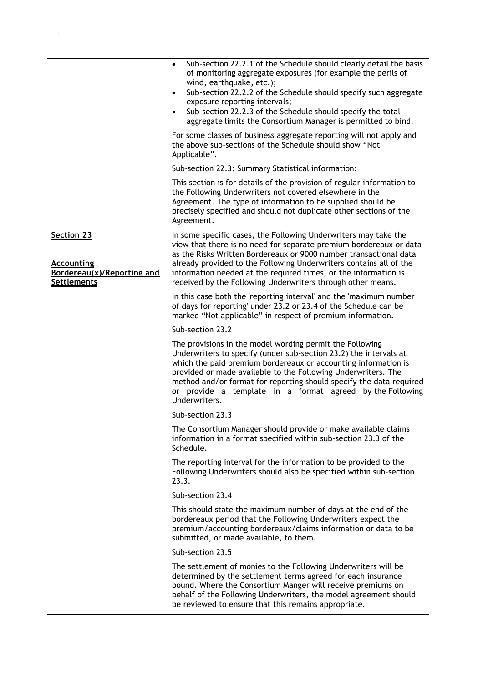|                                                                                     | Sub-section 22.2.1 of the Schedule should clearly detail the basis<br>$\bullet$<br>of monitoring aggregate exposures (for example the perils of<br>wind, earthquake, etc.);<br>Sub-section 22.2.2 of the Schedule should specify such aggregate<br>$\bullet$<br>exposure reporting intervals;<br>Sub-section 22.2.3 of the Schedule should specify the total<br>$\bullet$<br>aggregate limits the Consortium Manager is permitted to bind.<br>For some classes of business aggregate reporting will not apply and |
|-------------------------------------------------------------------------------------|-------------------------------------------------------------------------------------------------------------------------------------------------------------------------------------------------------------------------------------------------------------------------------------------------------------------------------------------------------------------------------------------------------------------------------------------------------------------------------------------------------------------|
|                                                                                     | the above sub-sections of the Schedule should show "Not<br>Applicable".                                                                                                                                                                                                                                                                                                                                                                                                                                           |
|                                                                                     | Sub-section 22.3: Summary Statistical information:                                                                                                                                                                                                                                                                                                                                                                                                                                                                |
|                                                                                     | This section is for details of the provision of regular information to<br>the Following Underwriters not covered elsewhere in the<br>Agreement. The type of information to be supplied should be<br>precisely specified and should not duplicate other sections of the<br>Agreement.                                                                                                                                                                                                                              |
| Section 23<br><b>Accounting</b><br>Bordereau(x)/Reporting and<br><b>Settlements</b> | In some specific cases, the Following Underwriters may take the<br>view that there is no need for separate premium bordereaux or data<br>as the Risks Written Bordereaux or 9000 number transactional data<br>already provided to the Following Underwriters contains all of the<br>information needed at the required times, or the information is<br>received by the Following Underwriters through other means.                                                                                                |
|                                                                                     | In this case both the 'reporting interval' and the 'maximum number<br>of days for reporting' under 23.2 or 23.4 of the Schedule can be<br>marked "Not applicable" in respect of premium information.                                                                                                                                                                                                                                                                                                              |
|                                                                                     | Sub-section 23.2                                                                                                                                                                                                                                                                                                                                                                                                                                                                                                  |
|                                                                                     | The provisions in the model wording permit the Following<br>Underwriters to specify (under sub-section 23.2) the intervals at<br>which the paid premium bordereaux or accounting information is<br>provided or made available to the Following Underwriters. The<br>method and/or format for reporting should specify the data required<br>or provide a template in a format agreed by the Following<br>Underwriters.                                                                                             |
|                                                                                     | Sub-section 23.3                                                                                                                                                                                                                                                                                                                                                                                                                                                                                                  |
|                                                                                     | The Consortium Manager should provide or make available claims<br>information in a format specified within sub-section 23.3 of the<br>Schedule.                                                                                                                                                                                                                                                                                                                                                                   |
|                                                                                     | The reporting interval for the information to be provided to the<br>Following Underwriters should also be specified within sub-section<br>23.3.                                                                                                                                                                                                                                                                                                                                                                   |
|                                                                                     | Sub-section 23.4                                                                                                                                                                                                                                                                                                                                                                                                                                                                                                  |
|                                                                                     | This should state the maximum number of days at the end of the<br>bordereaux period that the Following Underwriters expect the<br>premium/accounting bordereaux/claims information or data to be<br>submitted, or made available, to them.                                                                                                                                                                                                                                                                        |
|                                                                                     | Sub-section 23.5                                                                                                                                                                                                                                                                                                                                                                                                                                                                                                  |
|                                                                                     | The settlement of monies to the Following Underwriters will be<br>determined by the settlement terms agreed for each insurance<br>bound. Where the Consortium Manger will receive premiums on<br>behalf of the Following Underwriters, the model agreement should<br>be reviewed to ensure that this remains appropriate.                                                                                                                                                                                         |

 $\mathbf{g}^{\text{max}}_{\text{max}}$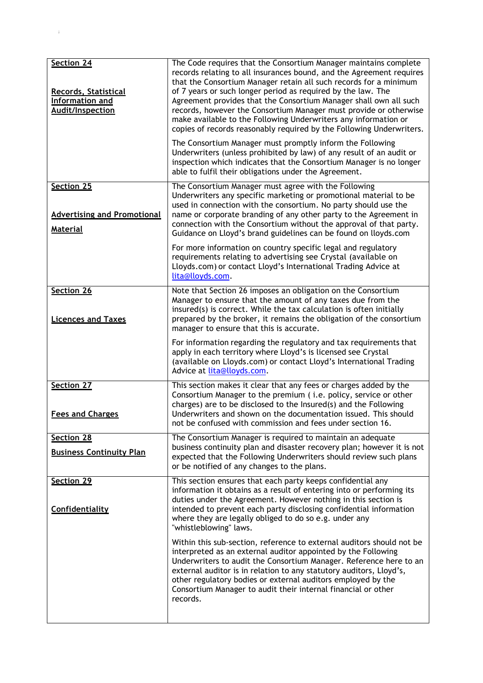| Section 24<br><b>Records, Statistical</b><br>Information and<br><b>Audit/Inspection</b> | The Code requires that the Consortium Manager maintains complete<br>records relating to all insurances bound, and the Agreement requires<br>that the Consortium Manager retain all such records for a minimum<br>of 7 years or such longer period as required by the law. The<br>Agreement provides that the Consortium Manager shall own all such<br>records, however the Consortium Manager must provide or otherwise<br>make available to the Following Underwriters any information or<br>copies of records reasonably required by the Following Underwriters.<br>The Consortium Manager must promptly inform the Following<br>Underwriters (unless prohibited by law) of any result of an audit or |
|-----------------------------------------------------------------------------------------|---------------------------------------------------------------------------------------------------------------------------------------------------------------------------------------------------------------------------------------------------------------------------------------------------------------------------------------------------------------------------------------------------------------------------------------------------------------------------------------------------------------------------------------------------------------------------------------------------------------------------------------------------------------------------------------------------------|
|                                                                                         | inspection which indicates that the Consortium Manager is no longer<br>able to fulfil their obligations under the Agreement.                                                                                                                                                                                                                                                                                                                                                                                                                                                                                                                                                                            |
| Section 25<br><b>Advertising and Promotional</b><br><b>Material</b>                     | The Consortium Manager must agree with the Following<br>Underwriters any specific marketing or promotional material to be<br>used in connection with the consortium. No party should use the<br>name or corporate branding of any other party to the Agreement in<br>connection with the Consortium without the approval of that party.<br>Guidance on Lloyd's brand guidelines can be found on lloyds.com                                                                                                                                                                                                                                                                                              |
|                                                                                         | For more information on country specific legal and regulatory<br>requirements relating to advertising see Crystal (available on<br>Lloyds.com) or contact Lloyd's International Trading Advice at<br>lita@lloyds.com.                                                                                                                                                                                                                                                                                                                                                                                                                                                                                   |
| Section 26<br><b>Licences and Taxes</b>                                                 | Note that Section 26 imposes an obligation on the Consortium<br>Manager to ensure that the amount of any taxes due from the<br>insured(s) is correct. While the tax calculation is often initially<br>prepared by the broker, it remains the obligation of the consortium<br>manager to ensure that this is accurate.                                                                                                                                                                                                                                                                                                                                                                                   |
|                                                                                         | For information regarding the regulatory and tax requirements that<br>apply in each territory where Lloyd's is licensed see Crystal<br>(available on Lloyds.com) or contact Lloyd's International Trading<br>Advice at lita@lloyds.com.                                                                                                                                                                                                                                                                                                                                                                                                                                                                 |
| Section 27<br><b>Fees and Charges</b>                                                   | This section makes it clear that any fees or charges added by the<br>Consortium Manager to the premium (i.e. policy, service or other<br>charges) are to be disclosed to the Insured(s) and the Following<br>Underwriters and shown on the documentation issued. This should<br>not be confused with commission and fees under section 16.                                                                                                                                                                                                                                                                                                                                                              |
| Section 28<br><b>Business Continuity Plan</b>                                           | The Consortium Manager is required to maintain an adequate<br>business continuity plan and disaster recovery plan; however it is not<br>expected that the Following Underwriters should review such plans<br>or be notified of any changes to the plans.                                                                                                                                                                                                                                                                                                                                                                                                                                                |
| Section 29<br>Confidentiality                                                           | This section ensures that each party keeps confidential any<br>information it obtains as a result of entering into or performing its<br>duties under the Agreement. However nothing in this section is<br>intended to prevent each party disclosing confidential information<br>where they are legally obliged to do so e.g. under any<br>"whistleblowing" laws.                                                                                                                                                                                                                                                                                                                                        |
|                                                                                         | Within this sub-section, reference to external auditors should not be<br>interpreted as an external auditor appointed by the Following<br>Underwriters to audit the Consortium Manager. Reference here to an<br>external auditor is in relation to any statutory auditors, Lloyd's,<br>other regulatory bodies or external auditors employed by the<br>Consortium Manager to audit their internal financial or other<br>records.                                                                                                                                                                                                                                                                        |

 $\mathbf{z}^{\text{in}}$  ;  $\mathbf{z}^{\text{in}}$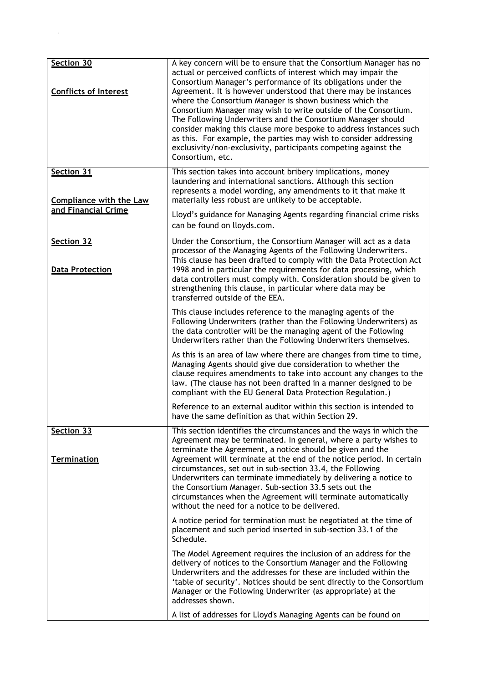| Section 30<br><b>Conflicts of Interest</b>                          | A key concern will be to ensure that the Consortium Manager has no<br>actual or perceived conflicts of interest which may impair the<br>Consortium Manager's performance of its obligations under the<br>Agreement. It is however understood that there may be instances<br>where the Consortium Manager is shown business which the<br>Consortium Manager may wish to write outside of the Consortium.<br>The Following Underwriters and the Consortium Manager should<br>consider making this clause more bespoke to address instances such<br>as this. For example, the parties may wish to consider addressing<br>exclusivity/non-exclusivity, participants competing against the<br>Consortium, etc. |
|---------------------------------------------------------------------|-----------------------------------------------------------------------------------------------------------------------------------------------------------------------------------------------------------------------------------------------------------------------------------------------------------------------------------------------------------------------------------------------------------------------------------------------------------------------------------------------------------------------------------------------------------------------------------------------------------------------------------------------------------------------------------------------------------|
| Section 31<br><b>Compliance with the Law</b><br>and Financial Crime | This section takes into account bribery implications, money<br>laundering and international sanctions. Although this section<br>represents a model wording, any amendments to it that make it<br>materially less robust are unlikely to be acceptable.<br>Lloyd's guidance for Managing Agents regarding financial crime risks                                                                                                                                                                                                                                                                                                                                                                            |
|                                                                     | can be found on lloyds.com.                                                                                                                                                                                                                                                                                                                                                                                                                                                                                                                                                                                                                                                                               |
| Section 32<br><b>Data Protection</b>                                | Under the Consortium, the Consortium Manager will act as a data<br>processor of the Managing Agents of the Following Underwriters.<br>This clause has been drafted to comply with the Data Protection Act<br>1998 and in particular the requirements for data processing, which<br>data controllers must comply with. Consideration should be given to<br>strengthening this clause, in particular where data may be<br>transferred outside of the EEA.                                                                                                                                                                                                                                                   |
|                                                                     | This clause includes reference to the managing agents of the<br>Following Underwriters (rather than the Following Underwriters) as<br>the data controller will be the managing agent of the Following<br>Underwriters rather than the Following Underwriters themselves.                                                                                                                                                                                                                                                                                                                                                                                                                                  |
|                                                                     | As this is an area of law where there are changes from time to time,<br>Managing Agents should give due consideration to whether the<br>clause requires amendments to take into account any changes to the<br>law. (The clause has not been drafted in a manner designed to be<br>compliant with the EU General Data Protection Regulation.)                                                                                                                                                                                                                                                                                                                                                              |
|                                                                     | Reference to an external auditor within this section is intended to<br>have the same definition as that within Section 29.                                                                                                                                                                                                                                                                                                                                                                                                                                                                                                                                                                                |
| Section 33<br><b>Termination</b>                                    | This section identifies the circumstances and the ways in which the<br>Agreement may be terminated. In general, where a party wishes to<br>terminate the Agreement, a notice should be given and the<br>Agreement will terminate at the end of the notice period. In certain<br>circumstances, set out in sub-section 33.4, the Following<br>Underwriters can terminate immediately by delivering a notice to<br>the Consortium Manager. Sub-section 33.5 sets out the<br>circumstances when the Agreement will terminate automatically<br>without the need for a notice to be delivered.                                                                                                                 |
|                                                                     | A notice period for termination must be negotiated at the time of<br>placement and such period inserted in sub-section 33.1 of the<br>Schedule.                                                                                                                                                                                                                                                                                                                                                                                                                                                                                                                                                           |
|                                                                     | The Model Agreement requires the inclusion of an address for the<br>delivery of notices to the Consortium Manager and the Following<br>Underwriters and the addresses for these are included within the<br>'table of security'. Notices should be sent directly to the Consortium<br>Manager or the Following Underwriter (as appropriate) at the<br>addresses shown.                                                                                                                                                                                                                                                                                                                                     |
|                                                                     | A list of addresses for Lloyd's Managing Agents can be found on                                                                                                                                                                                                                                                                                                                                                                                                                                                                                                                                                                                                                                           |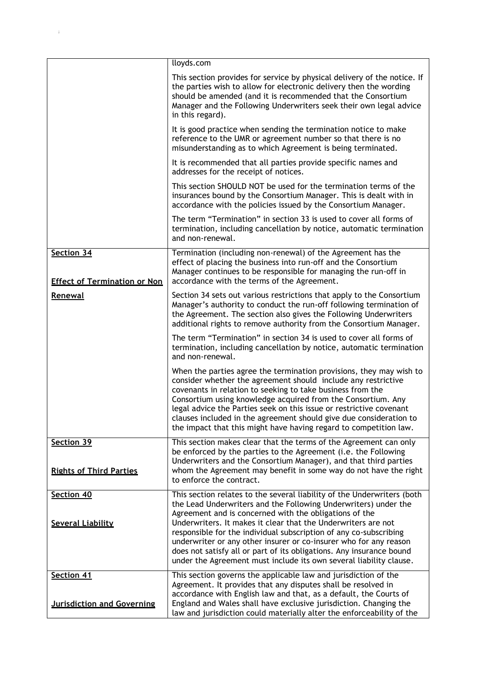|                                                   | lloyds.com                                                                                                                                                                                                                                                                                                                                                                                                                                                                           |
|---------------------------------------------------|--------------------------------------------------------------------------------------------------------------------------------------------------------------------------------------------------------------------------------------------------------------------------------------------------------------------------------------------------------------------------------------------------------------------------------------------------------------------------------------|
|                                                   | This section provides for service by physical delivery of the notice. If<br>the parties wish to allow for electronic delivery then the wording<br>should be amended (and it is recommended that the Consortium<br>Manager and the Following Underwriters seek their own legal advice<br>in this regard).                                                                                                                                                                             |
|                                                   | It is good practice when sending the termination notice to make<br>reference to the UMR or agreement number so that there is no<br>misunderstanding as to which Agreement is being terminated.                                                                                                                                                                                                                                                                                       |
|                                                   | It is recommended that all parties provide specific names and<br>addresses for the receipt of notices.                                                                                                                                                                                                                                                                                                                                                                               |
|                                                   | This section SHOULD NOT be used for the termination terms of the<br>insurances bound by the Consortium Manager. This is dealt with in<br>accordance with the policies issued by the Consortium Manager.                                                                                                                                                                                                                                                                              |
|                                                   | The term "Termination" in section 33 is used to cover all forms of<br>termination, including cancellation by notice, automatic termination<br>and non-renewal.                                                                                                                                                                                                                                                                                                                       |
| Section 34<br><b>Effect of Termination or Non</b> | Termination (including non-renewal) of the Agreement has the<br>effect of placing the business into run-off and the Consortium<br>Manager continues to be responsible for managing the run-off in<br>accordance with the terms of the Agreement.                                                                                                                                                                                                                                     |
| Renewal                                           | Section 34 sets out various restrictions that apply to the Consortium<br>Manager's authority to conduct the run-off following termination of<br>the Agreement. The section also gives the Following Underwriters<br>additional rights to remove authority from the Consortium Manager.                                                                                                                                                                                               |
|                                                   | The term "Termination" in section 34 is used to cover all forms of<br>termination, including cancellation by notice, automatic termination<br>and non-renewal.                                                                                                                                                                                                                                                                                                                       |
|                                                   | When the parties agree the termination provisions, they may wish to<br>consider whether the agreement should include any restrictive<br>covenants in relation to seeking to take business from the<br>Consortium using knowledge acquired from the Consortium. Any<br>legal advice the Parties seek on this issue or restrictive covenant<br>clauses included in the agreement should give due consideration to<br>the impact that this might have having regard to competition law. |
| Section 39<br><b>Rights of Third Parties</b>      | This section makes clear that the terms of the Agreement can only<br>be enforced by the parties to the Agreement (i.e. the Following<br>Underwriters and the Consortium Manager), and that third parties<br>whom the Agreement may benefit in some way do not have the right<br>to enforce the contract.                                                                                                                                                                             |
| Section 40                                        | This section relates to the several liability of the Underwriters (both                                                                                                                                                                                                                                                                                                                                                                                                              |
| <b>Several Liability</b>                          | the Lead Underwriters and the Following Underwriters) under the<br>Agreement and is concerned with the obligations of the<br>Underwriters. It makes it clear that the Underwriters are not<br>responsible for the individual subscription of any co-subscribing<br>underwriter or any other insurer or co-insurer who for any reason<br>does not satisfy all or part of its obligations. Any insurance bound<br>under the Agreement must include its own several liability clause.   |
| Section 41                                        | This section governs the applicable law and jurisdiction of the<br>Agreement. It provides that any disputes shall be resolved in                                                                                                                                                                                                                                                                                                                                                     |
| <b>Jurisdiction and Governing</b>                 | accordance with English law and that, as a default, the Courts of<br>England and Wales shall have exclusive jurisdiction. Changing the<br>law and jurisdiction could materially alter the enforceability of the                                                                                                                                                                                                                                                                      |